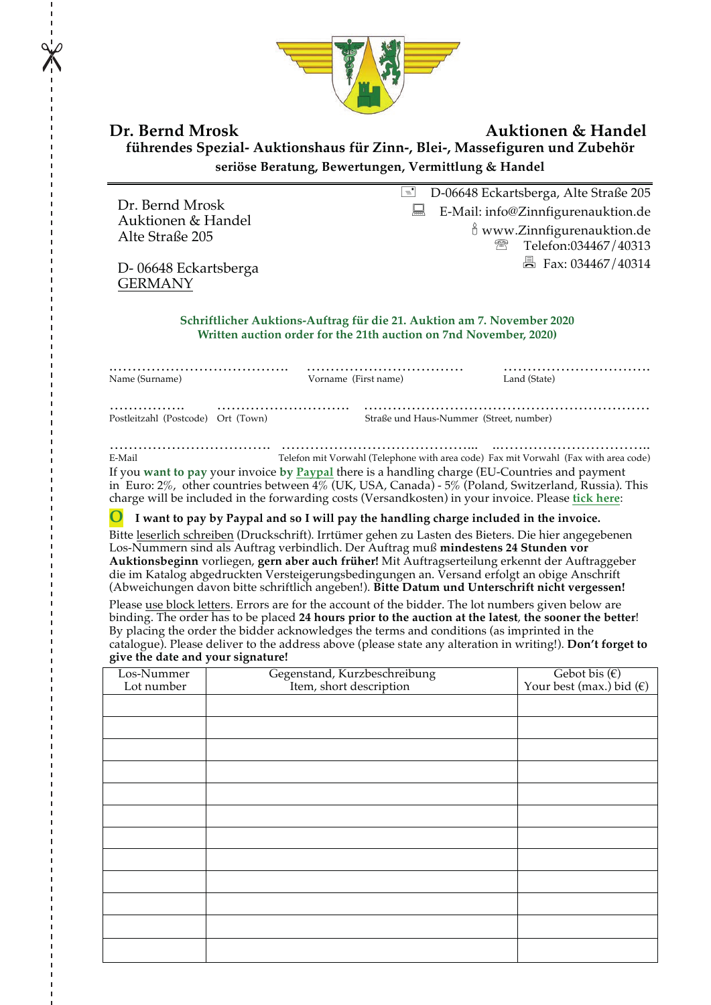

## **Dr. Bernd Mrosk Auktionen & Handel führendes Spezial- Auktionshaus für Zinn-, Blei-, Massefiguren und Zubehör seriöse Beratung, Bewertungen, Vermittlung & Handel**

Dr. Bernd Mrosk Auktionen & Handel Alte Straße 205

D- 06648 Eckartsberga **GERMANY** 

D-06648 Eckartsberga, Alte Straße 205  $\Box$  E-Mail: info@Zinnfigurenauktion.de  $\frac{8}{9}$  www.Zinnfigurenauktion.de ' Telefon:034467/40313  $\Box$  Fax: 034467/40314

**Schriftlicher Auktions-Auftrag für die 21. Auktion am 7. November 2020 Written auction order for the 21th auction on 7nd November, 2020)**

| Name (Surname)                          | Vorname (First name) |                                         | Land (State) |
|-----------------------------------------|----------------------|-----------------------------------------|--------------|
| .<br>Postleitzahl (Postcode) Ort (Town) |                      | Straße und Haus-Nummer (Street, number) |              |

……………………………. …………………………………... ..………………………….. E-Mail Telefon mit Vorwahl (Telephone with area code) Fax mit Vorwahl (Fax with area code) If you **want to pay** your invoice **by Paypal** there is a handling charge (EU-Countries and payment in Euro: 2%, other countries between 4% (UK, USA, Canada) - 5% (Poland, Switzerland, Russia). This charge will be included in the forwarding costs (Versandkosten) in your invoice. Please **tick here**:

**O I want to pay by Paypal and so I will pay the handling charge included in the invoice.**

Bitte leserlich schreiben (Druckschrift). Irrtümer gehen zu Lasten des Bieters. Die hier angegebenen Los-Nummern sind als Auftrag verbindlich. Der Auftrag muß **mindestens 24 Stunden vor Auktionsbeginn** vorliegen, **gern aber auch früher!** Mit Auftragserteilung erkennt der Auftraggeber die im Katalog abgedruckten Versteigerungsbedingungen an. Versand erfolgt an obige Anschrift (Abweichungen davon bitte schriftlich angeben!). **Bitte Datum und Unterschrift nicht vergessen!**

Please use block letters. Errors are for the account of the bidder. The lot numbers given below are binding. The order has to be placed **24 hours prior to the auction at the latest**, **the sooner the better**! By placing the order the bidder acknowledges the terms and conditions (as imprinted in the catalogue). Please deliver to the address above (please state any alteration in writing!). **Don't forget to give the date and your signature!**

| Los-Nummer | ~<br>Gegenstand, Kurzbeschreibung<br>Item, short description | Gebot bis $(\epsilon)$            |
|------------|--------------------------------------------------------------|-----------------------------------|
| Lot number |                                                              | Your best (max.) bid $(\epsilon)$ |
|            |                                                              |                                   |
|            |                                                              |                                   |
|            |                                                              |                                   |
|            |                                                              |                                   |
|            |                                                              |                                   |
|            |                                                              |                                   |
|            |                                                              |                                   |
|            |                                                              |                                   |
|            |                                                              |                                   |
|            |                                                              |                                   |
|            |                                                              |                                   |
|            |                                                              |                                   |